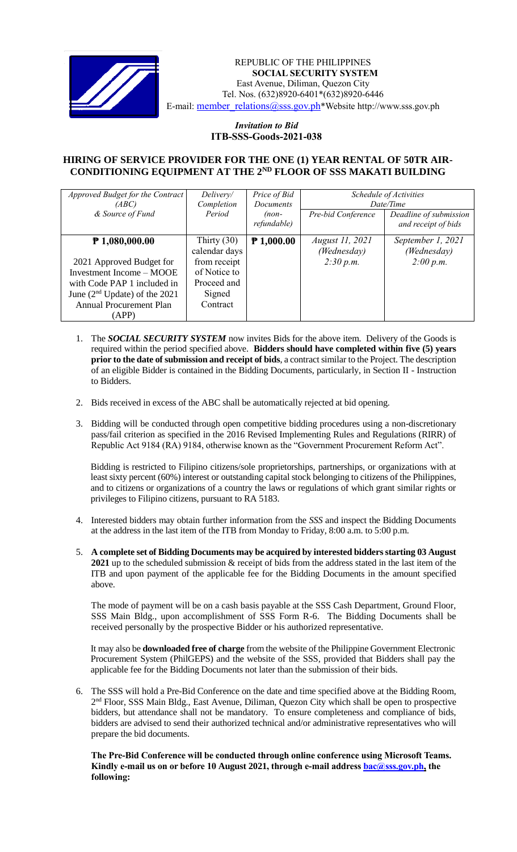

#### *Invitation to Bid* REPUBLIC OF THE PHILIPPINES **SOCIAL SECURITY SYSTEM** East Avenue, Diliman, Quezon City Tel. Nos. (632)8920-6401\*(632)8920-6446 E-mail: [member\\_relations@sss.gov.ph](mailto:member_relations@sss.gov.ph)\*Website http://www.sss.gov.ph

### *Invitation to Bid*  **ITB-SSS-Goods-2021-038**

### **HIRING OF SERVICE PROVIDER FOR THE ONE (1) YEAR RENTAL OF 50TR AIR-CONDITIONING EQUIPMENT AT THE 2ND FLOOR OF SSS MAKATI BUILDING**

| Approved Budget for the Contract | Delivery/     | Price of Bid     | Schedule of Activities |                        |
|----------------------------------|---------------|------------------|------------------------|------------------------|
| (ABC)                            | Completion    | <b>Documents</b> | Date/Time              |                        |
| & Source of Fund                 | Period        | $(non-$          | Pre-bid Conference     | Deadline of submission |
|                                  |               | refundable)      |                        | and receipt of bids    |
| $P$ 1,080,000.00                 | Thirty $(30)$ | $P$ 1,000.00     | August 11, 2021        | September 1, 2021      |
|                                  | calendar days |                  | (Wednesday)            | (Wednesday)            |
| 2021 Approved Budget for         | from receipt  |                  | 2:30 p.m.              | 2:00 p.m.              |
| Investment Income - MOOE         | of Notice to  |                  |                        |                        |
| with Code PAP 1 included in      | Proceed and   |                  |                        |                        |
| June $(2nd Update)$ of the 2021  | Signed        |                  |                        |                        |
| <b>Annual Procurement Plan</b>   | Contract      |                  |                        |                        |
| (APP)                            |               |                  |                        |                        |

- 1. The *SOCIAL SECURITY SYSTEM* now invites Bids for the above item. Delivery of the Goods is required within the period specified above. **Bidders should have completed within five (5) years prior to the date of submission and receipt of bids**, a contract similar to the Project. The description of an eligible Bidder is contained in the Bidding Documents, particularly, in Section II - Instruction to Bidders.
- 2. Bids received in excess of the ABC shall be automatically rejected at bid opening.
- 3. Bidding will be conducted through open competitive bidding procedures using a non-discretionary pass/fail criterion as specified in the 2016 Revised Implementing Rules and Regulations (RIRR) of Republic Act 9184 (RA) 9184, otherwise known as the "Government Procurement Reform Act".

Bidding is restricted to Filipino citizens/sole proprietorships, partnerships, or organizations with at least sixty percent (60%) interest or outstanding capital stock belonging to citizens of the Philippines, and to citizens or organizations of a country the laws or regulations of which grant similar rights or privileges to Filipino citizens, pursuant to RA 5183.

- 4. Interested bidders may obtain further information from the *SSS* and inspect the Bidding Documents at the address in the last item of the ITB from Monday to Friday, 8:00 a.m. to 5:00 p.m.
- 5. **A complete set of Bidding Documents may be acquired by interested bidders starting 03 August 2021** up to the scheduled submission & receipt of bids from the address stated in the last item of the ITB and upon payment of the applicable fee for the Bidding Documents in the amount specified above.

The mode of payment will be on a cash basis payable at the SSS Cash Department, Ground Floor, SSS Main Bldg., upon accomplishment of SSS Form R-6. The Bidding Documents shall be received personally by the prospective Bidder or his authorized representative.

It may also be **downloaded free of charge** from the website of the Philippine Government Electronic Procurement System (PhilGEPS) and the website of the SSS*,* provided that Bidders shall pay the applicable fee for the Bidding Documents not later than the submission of their bids.

6. The SSS will hold a Pre-Bid Conference on the date and time specified above at the Bidding Room, 2<sup>nd</sup> Floor, SSS Main Bldg., East Avenue, Diliman, Quezon City which shall be open to prospective bidders, but attendance shall not be mandatory. To ensure completeness and compliance of bids, bidders are advised to send their authorized technical and/or administrative representatives who will prepare the bid documents.

**The Pre-Bid Conference will be conducted through online conference using Microsoft Teams. Kindly e-mail us on or before 10 August 2021, through e-mail address [bac@sss.gov.ph,](mailto:bac@sss.gov.ph) the following:**